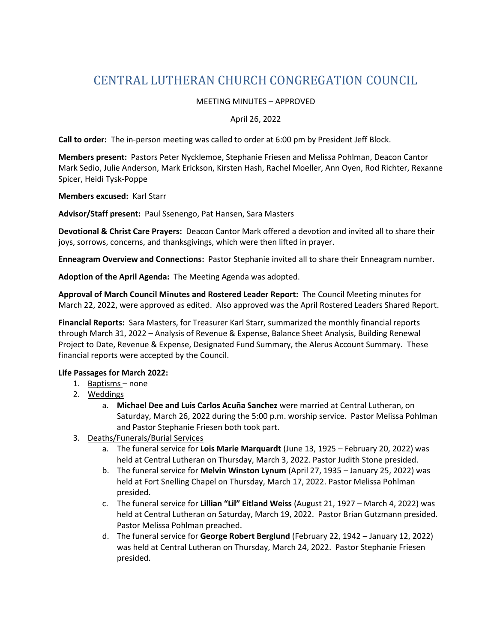# CENTRAL LUTHERAN CHURCH CONGREGATION COUNCIL

### MEETING MINUTES – APPROVED

#### April 26, 2022

**Call to order:** The in-person meeting was called to order at 6:00 pm by President Jeff Block.

**Members present:** Pastors Peter Nycklemoe, Stephanie Friesen and Melissa Pohlman, Deacon Cantor Mark Sedio, Julie Anderson, Mark Erickson, Kirsten Hash, Rachel Moeller, Ann Oyen, Rod Richter, Rexanne Spicer, Heidi Tysk-Poppe

**Members excused:** Karl Starr

**Advisor/Staff present:** Paul Ssenengo, Pat Hansen, Sara Masters

**Devotional & Christ Care Prayers:** Deacon Cantor Mark offered a devotion and invited all to share their joys, sorrows, concerns, and thanksgivings, which were then lifted in prayer.

**Enneagram Overview and Connections:** Pastor Stephanie invited all to share their Enneagram number.

**Adoption of the April Agenda:** The Meeting Agenda was adopted.

**Approval of March Council Minutes and Rostered Leader Report:** The Council Meeting minutes for March 22, 2022, were approved as edited. Also approved was the April Rostered Leaders Shared Report.

**Financial Reports:** Sara Masters, for Treasurer Karl Starr, summarized the monthly financial reports through March 31, 2022 – Analysis of Revenue & Expense, Balance Sheet Analysis, Building Renewal Project to Date, Revenue & Expense, Designated Fund Summary, the Alerus Account Summary. These financial reports were accepted by the Council.

### **Life Passages for March 2022:**

- 1. Baptisms none
- 2. Weddings
	- a. **Michael Dee and Luis Carlos Acuña Sanchez** were married at Central Lutheran, on Saturday, March 26, 2022 during the 5:00 p.m. worship service. Pastor Melissa Pohlman and Pastor Stephanie Friesen both took part.
- 3. Deaths/Funerals/Burial Services
	- a. The funeral service for **Lois Marie Marquardt** (June 13, 1925 February 20, 2022) was held at Central Lutheran on Thursday, March 3, 2022. Pastor Judith Stone presided.
	- b. The funeral service for **Melvin Winston Lynum** (April 27, 1935 January 25, 2022) was held at Fort Snelling Chapel on Thursday, March 17, 2022. Pastor Melissa Pohlman presided.
	- c. The funeral service for **Lillian "Lil" Eitland Weiss** (August 21, 1927 March 4, 2022) was held at Central Lutheran on Saturday, March 19, 2022. Pastor Brian Gutzmann presided. Pastor Melissa Pohlman preached.
	- d. The funeral service for **George Robert Berglund** (February 22, 1942 January 12, 2022) was held at Central Lutheran on Thursday, March 24, 2022. Pastor Stephanie Friesen presided.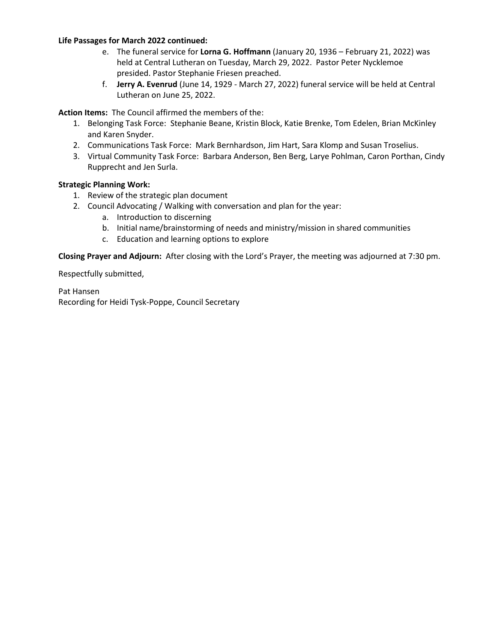### **Life Passages for March 2022 continued:**

- e. The funeral service for **Lorna G. Hoffmann** (January 20, 1936 February 21, 2022) was held at Central Lutheran on Tuesday, March 29, 2022. Pastor Peter Nycklemoe presided. Pastor Stephanie Friesen preached.
- f. **Jerry A. Evenrud** (June 14, 1929 March 27, 2022) funeral service will be held at Central Lutheran on June 25, 2022.

**Action Items:** The Council affirmed the members of the:

- 1. Belonging Task Force: Stephanie Beane, Kristin Block, Katie Brenke, Tom Edelen, Brian McKinley and Karen Snyder.
- 2. Communications Task Force: Mark Bernhardson, Jim Hart, Sara Klomp and Susan Troselius.
- 3. Virtual Community Task Force: Barbara Anderson, Ben Berg, Larye Pohlman, Caron Porthan, Cindy Rupprecht and Jen Surla.

### **Strategic Planning Work:**

- 1. Review of the strategic plan document
- 2. Council Advocating / Walking with conversation and plan for the year:
	- a. Introduction to discerning
	- b. Initial name/brainstorming of needs and ministry/mission in shared communities
	- c. Education and learning options to explore

**Closing Prayer and Adjourn:** After closing with the Lord's Prayer, the meeting was adjourned at 7:30 pm.

Respectfully submitted,

Pat Hansen Recording for Heidi Tysk-Poppe, Council Secretary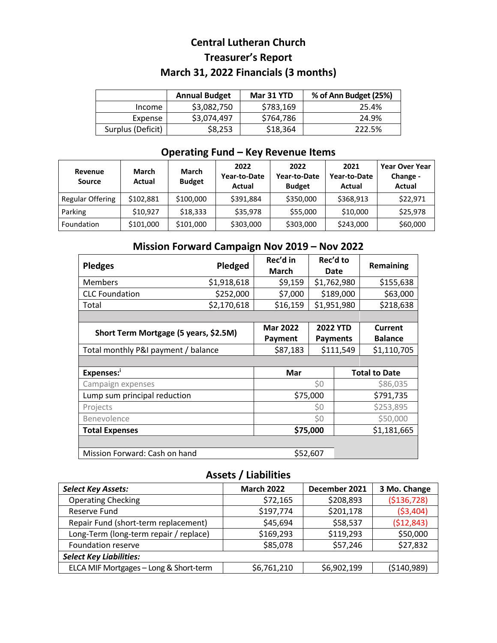## **Central Lutheran Church Treasurer's Report March 31, 2022 Financials (3 months)**

|                   | <b>Annual Budget</b> | <b>Mar 31 YTD</b> | % of Ann Budget (25%) |
|-------------------|----------------------|-------------------|-----------------------|
| Income            | \$3,082,750          | \$783,169         | 25.4%                 |
| Expense           | \$3,074,497          | \$764,786         | 24.9%                 |
| Surplus (Deficit) | \$8,253              | \$18,364          | 222.5%                |

## **Operating Fund – Key Revenue Items**

| Revenue<br><b>Source</b> | March<br>Actual | <b>March</b><br><b>Budget</b> | 2022<br>Year-to-Date<br>Actual | 2022<br>Year-to-Date<br><b>Budget</b> | 2021<br>Year-to-Date<br>Actual | <b>Year Over Year</b><br>Change -<br>Actual |
|--------------------------|-----------------|-------------------------------|--------------------------------|---------------------------------------|--------------------------------|---------------------------------------------|
| Regular Offering         | \$102,881       | \$100,000                     | \$391,884                      | \$350,000                             | \$368,913                      | \$22,971                                    |
| Parking                  | \$10.927        | \$18,333                      | \$35,978                       | \$55,000                              | \$10,000                       | \$25,978                                    |
| Foundation               | \$101,000       | \$101,000                     | \$303,000                      | \$303,000                             | \$243,000                      | \$60,000                                    |

## **Mission Forward Campaign Nov 2019 – Nov 2022**

| <b>Pledges</b>                        | Pledged     |                 | Rec'd to<br>Date |             | Remaining            |  |
|---------------------------------------|-------------|-----------------|------------------|-------------|----------------------|--|
| <b>Members</b>                        | \$1,918,618 | \$9,159         | \$1,762,980      |             | \$155,638            |  |
| <b>CLC</b> Foundation                 | \$252,000   | \$7,000         | \$189,000        |             | \$63,000             |  |
| Total                                 | \$2,170,618 | \$16,159        | \$1,951,980      |             | \$218,638            |  |
|                                       |             |                 |                  |             |                      |  |
| Short Term Mortgage (5 years, \$2.5M) |             | <b>Mar 2022</b> | <b>2022 YTD</b>  |             | Current              |  |
|                                       |             | Payment         | <b>Payments</b>  |             | <b>Balance</b>       |  |
| Total monthly P&I payment / balance   |             | \$87,183        | \$111,549        |             | \$1,110,705          |  |
|                                       |             |                 |                  |             |                      |  |
| Expenses: <sup>i</sup>                |             | Mar             |                  |             | <b>Total to Date</b> |  |
| Campaign expenses                     |             | \$0             |                  |             | \$86,035             |  |
| Lump sum principal reduction          |             | \$75,000        |                  | \$791,735   |                      |  |
| Projects                              |             | \$0             |                  | \$253,895   |                      |  |
| Benevolence                           |             | \$0             |                  | \$50,000    |                      |  |
| <b>Total Expenses</b>                 |             | \$75,000        |                  | \$1,181,665 |                      |  |
|                                       |             |                 |                  |             |                      |  |
| Mission Forward: Cash on hand         |             |                 | \$52,607         |             |                      |  |

### **Assets / Liabilities**

| <b>Select Key Assets:</b>              | <b>March 2022</b> | December 2021 | 3 Mo. Change  |  |  |
|----------------------------------------|-------------------|---------------|---------------|--|--|
| <b>Operating Checking</b>              | \$72,165          | \$208,893     | ( \$136, 728) |  |  |
| Reserve Fund                           | \$197,774         | \$201,178     | ( \$3,404)    |  |  |
| Repair Fund (short-term replacement)   | \$45,694          | \$58,537      | (\$12,843)    |  |  |
| Long-Term (long-term repair / replace) | \$169,293         | \$119,293     | \$50,000      |  |  |
| <b>Foundation reserve</b>              | \$85,078          | \$57,246      | \$27,832      |  |  |
| <b>Select Key Liabilities:</b>         |                   |               |               |  |  |
| ELCA MIF Mortgages - Long & Short-term | \$6,761,210       | \$6,902,199   | (5140,989)    |  |  |